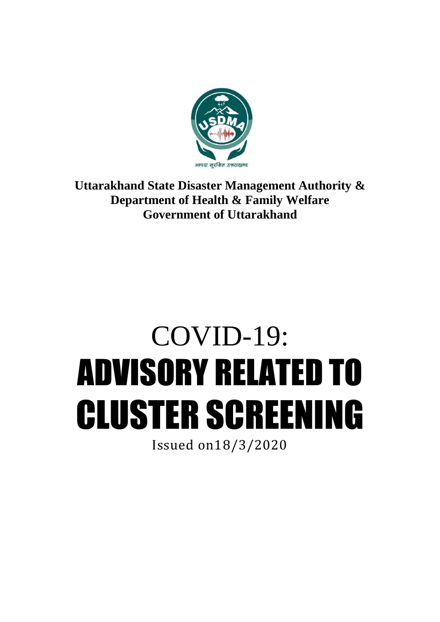

**Uttarakhand State Disaster Management Authority & Department of Health & Family Welfare Government of Uttarakhand**

# COVID-19: ADVISORY RELATED TO CLUSTER SCREENING

Issued on18/3/2020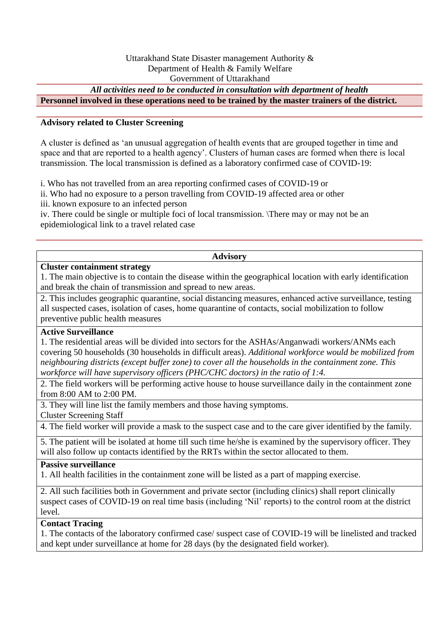# Uttarakhand State Disaster management Authority & Department of Health & Family Welfare Government of Uttarakhand

*All activities need to be conducted in consultation with department of health*

**Personnel involved in these operations need to be trained by the master trainers of the district.**

# **Advisory related to Cluster Screening**

A cluster is defined as 'an unusual aggregation of health events that are grouped together in time and space and that are reported to a health agency'. Clusters of human cases are formed when there is local transmission. The local transmission is defined as a laboratory confirmed case of COVID-19:

i. Who has not travelled from an area reporting confirmed cases of COVID-19 or

ii. Who had no exposure to a person travelling from COVID-19 affected area or other

iii. known exposure to an infected person

iv. There could be single or multiple foci of local transmission. \There may or may not be an epidemiological link to a travel related case

#### **Advisory**

#### **Cluster containment strategy**

1. The main objective is to contain the disease within the geographical location with early identification and break the chain of transmission and spread to new areas.

2. This includes geographic quarantine, social distancing measures, enhanced active surveillance, testing all suspected cases, isolation of cases, home quarantine of contacts, social mobilization to follow preventive public health measures

# **Active Surveillance**

1. The residential areas will be divided into sectors for the ASHAs/Anganwadi workers/ANMs each covering 50 households (30 households in difficult areas). *Additional workforce would be mobilized from neighbouring districts (except buffer zone) to cover all the households in the containment zone. This workforce will have supervisory officers (PHC/CHC doctors) in the ratio of 1:4.*

2. The field workers will be performing active house to house surveillance daily in the containment zone from 8:00 AM to 2:00 PM.

3. They will line list the family members and those having symptoms.

Cluster Screening Staff

4. The field worker will provide a mask to the suspect case and to the care giver identified by the family.

5. The patient will be isolated at home till such time he/she is examined by the supervisory officer. They will also follow up contacts identified by the RRTs within the sector allocated to them.

# **Passive surveillance**

1. All health facilities in the containment zone will be listed as a part of mapping exercise.

2. All such facilities both in Government and private sector (including clinics) shall report clinically suspect cases of COVID-19 on real time basis (including 'Nil' reports) to the control room at the district level.

# **Contact Tracing**

1. The contacts of the laboratory confirmed case/ suspect case of COVID-19 will be linelisted and tracked and kept under surveillance at home for 28 days (by the designated field worker).